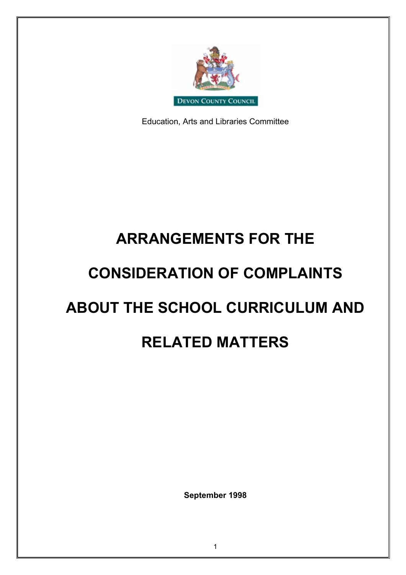

Education, Arts and Libraries Committee

# **ARRANGEMENTS FOR THE**

## **CONSIDERATION OF COMPLAINTS**

# **ABOUT THE SCHOOL CURRICULUM AND**

## **RELATED MATTERS**

**September 1998**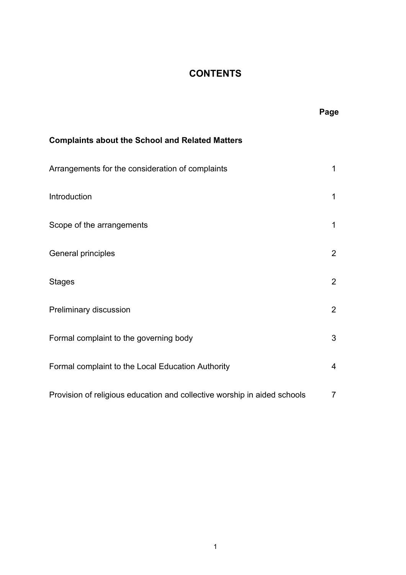## **CONTENTS**

|                                                                          | Page           |
|--------------------------------------------------------------------------|----------------|
| <b>Complaints about the School and Related Matters</b>                   |                |
| Arrangements for the consideration of complaints                         | 1              |
| Introduction                                                             | 1              |
| Scope of the arrangements                                                | 1              |
| General principles                                                       | 2              |
| <b>Stages</b>                                                            | 2              |
| Preliminary discussion                                                   | $\overline{2}$ |
| Formal complaint to the governing body                                   | 3              |
| Formal complaint to the Local Education Authority                        | 4              |
| Provision of religious education and collective worship in aided schools | 7              |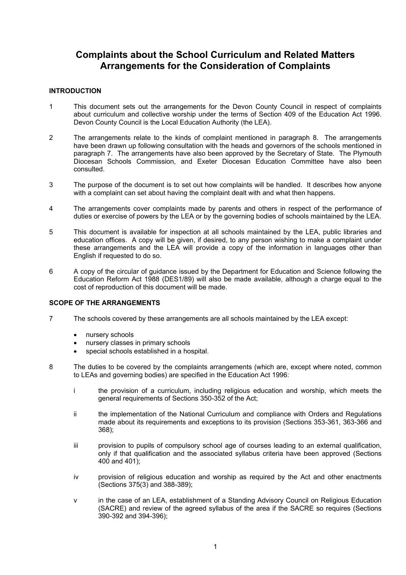### **Complaints about the School Curriculum and Related Matters Arrangements for the Consideration of Complaints**

#### **INTRODUCTION**

- 1 This document sets out the arrangements for the Devon County Council in respect of complaints about curriculum and collective worship under the terms of Section 409 of the Education Act 1996. Devon County Council is the Local Education Authority (the LEA).
- 2 The arrangements relate to the kinds of complaint mentioned in paragraph 8. The arrangements have been drawn up following consultation with the heads and governors of the schools mentioned in paragraph 7. The arrangements have also been approved by the Secretary of State. The Plymouth Diocesan Schools Commission, and Exeter Diocesan Education Committee have also been consulted.
- 3 The purpose of the document is to set out how complaints will be handled. It describes how anyone with a complaint can set about having the complaint dealt with and what then happens.
- 4 The arrangements cover complaints made by parents and others in respect of the performance of duties or exercise of powers by the LEA or by the governing bodies of schools maintained by the LEA.
- 5 This document is available for inspection at all schools maintained by the LEA, public libraries and education offices. A copy will be given, if desired, to any person wishing to make a complaint under these arrangements and the LEA will provide a copy of the information in languages other than English if requested to do so.
- 6 A copy of the circular of guidance issued by the Department for Education and Science following the Education Reform Act 1988 (DES1/89) will also be made available, although a charge equal to the cost of reproduction of this document will be made.

#### **SCOPE OF THE ARRANGEMENTS**

- 7 The schools covered by these arrangements are all schools maintained by the LEA except:
	- nursery schools
	- nursery classes in primary schools
	- special schools established in a hospital.
- 8 The duties to be covered by the complaints arrangements (which are, except where noted, common to LEAs and governing bodies) are specified in the Education Act 1996:
	- i the provision of a curriculum, including religious education and worship, which meets the general requirements of Sections 350-352 of the Act;
	- ii the implementation of the National Curriculum and compliance with Orders and Regulations made about its requirements and exceptions to its provision (Sections 353-361, 363-366 and 368);
	- iii provision to pupils of compulsory school age of courses leading to an external qualification, only if that qualification and the associated syllabus criteria have been approved (Sections  $400$  and  $401$ :
	- iv provision of religious education and worship as required by the Act and other enactments (Sections 375(3) and 388-389);
	- v in the case of an LEA, establishment of a Standing Advisory Council on Religious Education (SACRE) and review of the agreed syllabus of the area if the SACRE so requires (Sections 390-392 and 394-396);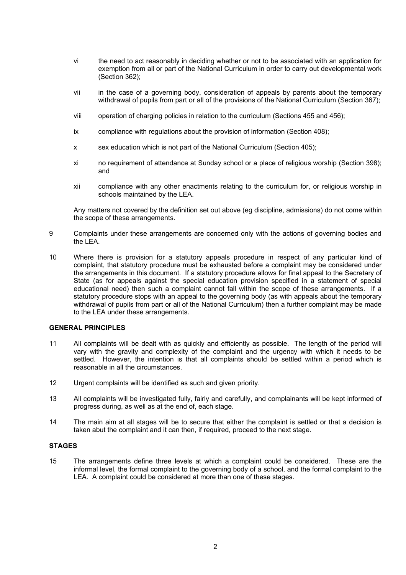- vi the need to act reasonably in deciding whether or not to be associated with an application for exemption from all or part of the National Curriculum in order to carry out developmental work (Section 362);
- vii in the case of a governing body, consideration of appeals by parents about the temporary withdrawal of pupils from part or all of the provisions of the National Curriculum (Section 367);
- viii operation of charging policies in relation to the curriculum (Sections 455 and 456);
- ix compliance with regulations about the provision of information (Section 408);
- x sex education which is not part of the National Curriculum (Section 405);
- xi no requirement of attendance at Sunday school or a place of religious worship (Section 398); and
- xii compliance with any other enactments relating to the curriculum for, or religious worship in schools maintained by the LEA.

Any matters not covered by the definition set out above (eg discipline, admissions) do not come within the scope of these arrangements.

- 9 Complaints under these arrangements are concerned only with the actions of governing bodies and the LEA.
- 10 Where there is provision for a statutory appeals procedure in respect of any particular kind of complaint, that statutory procedure must be exhausted before a complaint may be considered under the arrangements in this document. If a statutory procedure allows for final appeal to the Secretary of State (as for appeals against the special education provision specified in a statement of special educational need) then such a complaint cannot fall within the scope of these arrangements. If a statutory procedure stops with an appeal to the governing body (as with appeals about the temporary withdrawal of pupils from part or all of the National Curriculum) then a further complaint may be made to the LEA under these arrangements.

#### **GENERAL PRINCIPLES**

- 11 All complaints will be dealt with as quickly and efficiently as possible. The length of the period will vary with the gravity and complexity of the complaint and the urgency with which it needs to be settled. However, the intention is that all complaints should be settled within a period which is reasonable in all the circumstances.
- 12 Urgent complaints will be identified as such and given priority.
- 13 All complaints will be investigated fully, fairly and carefully, and complainants will be kept informed of progress during, as well as at the end of, each stage.
- 14 The main aim at all stages will be to secure that either the complaint is settled or that a decision is taken abut the complaint and it can then, if required, proceed to the next stage.

#### **STAGES**

15 The arrangements define three levels at which a complaint could be considered. These are the informal level, the formal complaint to the governing body of a school, and the formal complaint to the LEA. A complaint could be considered at more than one of these stages.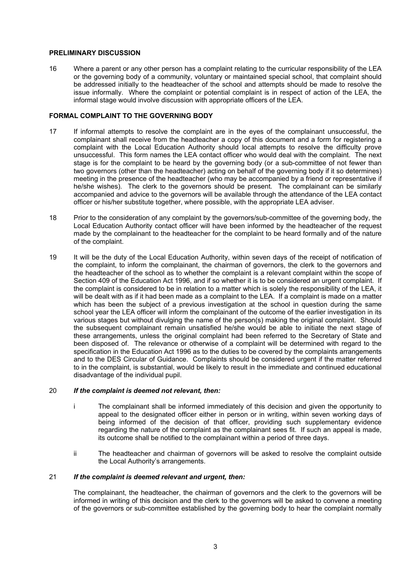#### **PRELIMINARY DISCUSSION**

16 Where a parent or any other person has a complaint relating to the curricular responsibility of the LEA or the governing body of a community, voluntary or maintained special school, that complaint should be addressed initially to the headteacher of the school and attempts should be made to resolve the issue informally. Where the complaint or potential complaint is in respect of action of the LEA, the informal stage would involve discussion with appropriate officers of the LEA.

#### **FORMAL COMPLAINT TO THE GOVERNING BODY**

- 17 If informal attempts to resolve the complaint are in the eyes of the complainant unsuccessful, the complainant shall receive from the headteacher a copy of this document and a form for registering a complaint with the Local Education Authority should local attempts to resolve the difficulty prove unsuccessful. This form names the LEA contact officer who would deal with the complaint. The next stage is for the complaint to be heard by the governing body (or a sub-committee of not fewer than two governors (other than the headteacher) acting on behalf of the governing body if it so determines) meeting in the presence of the headteacher (who may be accompanied by a friend or representative if he/she wishes). The clerk to the governors should be present. The complainant can be similarly accompanied and advice to the governors will be available through the attendance of the LEA contact officer or his/her substitute together, where possible, with the appropriate LEA adviser.
- 18 Prior to the consideration of any complaint by the governors/sub-committee of the governing body, the Local Education Authority contact officer will have been informed by the headteacher of the request made by the complainant to the headteacher for the complaint to be heard formally and of the nature of the complaint.
- 19 It will be the duty of the Local Education Authority, within seven days of the receipt of notification of the complaint, to inform the complainant, the chairman of governors, the clerk to the governors and the headteacher of the school as to whether the complaint is a relevant complaint within the scope of Section 409 of the Education Act 1996, and if so whether it is to be considered an urgent complaint. If the complaint is considered to be in relation to a matter which is solely the responsibility of the LEA, it will be dealt with as if it had been made as a complaint to the LEA. If a complaint is made on a matter which has been the subject of a previous investigation at the school in question during the same school year the LEA officer will inform the complainant of the outcome of the earlier investigation in its various stages but without divulging the name of the person(s) making the original complaint. Should the subsequent complainant remain unsatisfied he/she would be able to initiate the next stage of these arrangements, unless the original complaint had been referred to the Secretary of State and been disposed of. The relevance or otherwise of a complaint will be determined with regard to the specification in the Education Act 1996 as to the duties to be covered by the complaints arrangements and to the DES Circular of Guidance. Complaints should be considered urgent if the matter referred to in the complaint, is substantial, would be likely to result in the immediate and continued educational disadvantage of the individual pupil.

#### 20 *If the complaint is deemed not relevant, then:*

- i The complainant shall be informed immediately of this decision and given the opportunity to appeal to the designated officer either in person or in writing, within seven working days of being informed of the decision of that officer, providing such supplementary evidence regarding the nature of the complaint as the complainant sees fit. If such an appeal is made, its outcome shall be notified to the complainant within a period of three days.
- ii The headteacher and chairman of governors will be asked to resolve the complaint outside the Local Authority's arrangements.

#### 21 *If the complaint is deemed relevant and urgent, then:*

The complainant, the headteacher, the chairman of governors and the clerk to the governors will be informed in writing of this decision and the clerk to the governors will be asked to convene a meeting of the governors or sub-committee established by the governing body to hear the complaint normally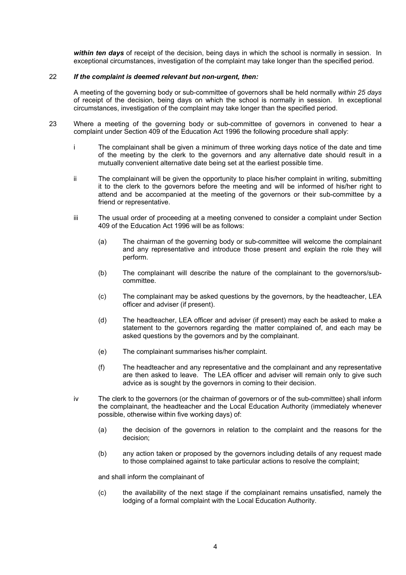*within ten days* of receipt of the decision, being days in which the school is normally in session. In exceptional circumstances, investigation of the complaint may take longer than the specified period.

#### 22 *If the complaint is deemed relevant but non-urgent, then:*

A meeting of the governing body or sub-committee of governors shall be held normally *within 25 days*  of receipt of the decision, being days on which the school is normally in session. In exceptional circumstances, investigation of the complaint may take longer than the specified period.

- 23 Where a meeting of the governing body or sub-committee of governors in convened to hear a complaint under Section 409 of the Education Act 1996 the following procedure shall apply:
	- i The complainant shall be given a minimum of three working days notice of the date and time of the meeting by the clerk to the governors and any alternative date should result in a mutually convenient alternative date being set at the earliest possible time.
	- ii The complainant will be given the opportunity to place his/her complaint in writing, submitting it to the clerk to the governors before the meeting and will be informed of his/her right to attend and be accompanied at the meeting of the governors or their sub-committee by a friend or representative.
	- iii The usual order of proceeding at a meeting convened to consider a complaint under Section 409 of the Education Act 1996 will be as follows:
		- (a) The chairman of the governing body or sub-committee will welcome the complainant and any representative and introduce those present and explain the role they will perform.
		- (b) The complainant will describe the nature of the complainant to the governors/subcommittee.
		- (c) The complainant may be asked questions by the governors, by the headteacher, LEA officer and adviser (if present).
		- (d) The headteacher, LEA officer and adviser (if present) may each be asked to make a statement to the governors regarding the matter complained of, and each may be asked questions by the governors and by the complainant.
		- (e) The complainant summarises his/her complaint.
		- (f) The headteacher and any representative and the complainant and any representative are then asked to leave. The LEA officer and adviser will remain only to give such advice as is sought by the governors in coming to their decision.
	- iv The clerk to the governors (or the chairman of governors or of the sub-committee) shall inform the complainant, the headteacher and the Local Education Authority (immediately whenever possible, otherwise within five working days) of:
		- (a) the decision of the governors in relation to the complaint and the reasons for the decision;
		- (b) any action taken or proposed by the governors including details of any request made to those complained against to take particular actions to resolve the complaint;

and shall inform the complainant of

(c) the availability of the next stage if the complainant remains unsatisfied, namely the lodging of a formal complaint with the Local Education Authority.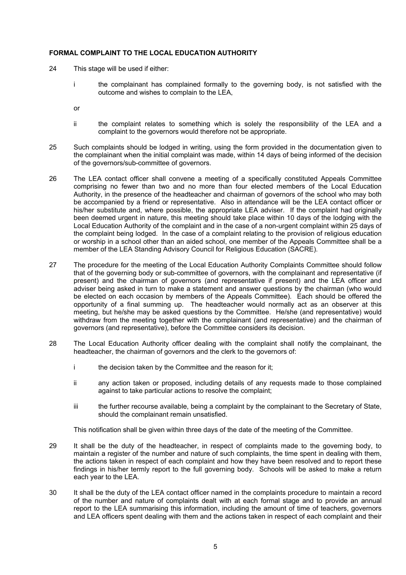#### **FORMAL COMPLAINT TO THE LOCAL EDUCATION AUTHORITY**

- 24 This stage will be used if either:
	- i the complainant has complained formally to the governing body, is not satisfied with the outcome and wishes to complain to the LEA,
	- or
	- ii the complaint relates to something which is solely the responsibility of the LEA and a complaint to the governors would therefore not be appropriate.
- 25 Such complaints should be lodged in writing, using the form provided in the documentation given to the complainant when the initial complaint was made, within 14 days of being informed of the decision of the governors/sub-committee of governors.
- 26 The LEA contact officer shall convene a meeting of a specifically constituted Appeals Committee comprising no fewer than two and no more than four elected members of the Local Education Authority, in the presence of the headteacher and chairman of governors of the school who may both be accompanied by a friend or representative. Also in attendance will be the LEA contact officer or his/her substitute and, where possible, the appropriate LEA adviser. If the complaint had originally been deemed urgent in nature, this meeting should take place within 10 days of the lodging with the Local Education Authority of the complaint and in the case of a non-urgent complaint within 25 days of the complaint being lodged. In the case of a complaint relating to the provision of religious education or worship in a school other than an aided school, one member of the Appeals Committee shall be a member of the LEA Standing Advisory Council for Religious Education (SACRE).
- 27 The procedure for the meeting of the Local Education Authority Complaints Committee should follow that of the governing body or sub-committee of governors, with the complainant and representative (if present) and the chairman of governors (and representative if present) and the LEA officer and adviser being asked in turn to make a statement and answer questions by the chairman (who would be elected on each occasion by members of the Appeals Committee). Each should be offered the opportunity of a final summing up. The headteacher would normally act as an observer at this meeting, but he/she may be asked questions by the Committee. He/she (and representative) would withdraw from the meeting together with the complainant (and representative) and the chairman of governors (and representative), before the Committee considers its decision.
- 28 The Local Education Authority officer dealing with the complaint shall notify the complainant, the headteacher, the chairman of governors and the clerk to the governors of:
	- i the decision taken by the Committee and the reason for it;
	- ii any action taken or proposed, including details of any requests made to those complained against to take particular actions to resolve the complaint;
	- iii the further recourse available, being a complaint by the complainant to the Secretary of State, should the complainant remain unsatisfied.

This notification shall be given within three days of the date of the meeting of the Committee.

- 29 It shall be the duty of the headteacher, in respect of complaints made to the governing body, to maintain a register of the number and nature of such complaints, the time spent in dealing with them, the actions taken in respect of each complaint and how they have been resolved and to report these findings in his/her termly report to the full governing body. Schools will be asked to make a return each year to the LEA.
- 30 It shall be the duty of the LEA contact officer named in the complaints procedure to maintain a record of the number and nature of complaints dealt with at each formal stage and to provide an annual report to the LEA summarising this information, including the amount of time of teachers, governors and LEA officers spent dealing with them and the actions taken in respect of each complaint and their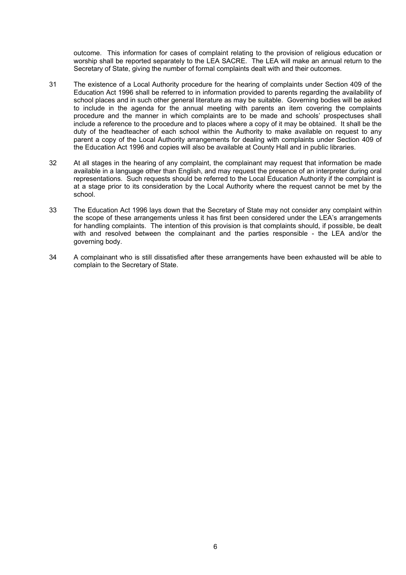outcome. This information for cases of complaint relating to the provision of religious education or worship shall be reported separately to the LEA SACRE. The LEA will make an annual return to the Secretary of State, giving the number of formal complaints dealt with and their outcomes.

- 31 The existence of a Local Authority procedure for the hearing of complaints under Section 409 of the Education Act 1996 shall be referred to in information provided to parents regarding the availability of school places and in such other general literature as may be suitable. Governing bodies will be asked to include in the agenda for the annual meeting with parents an item covering the complaints procedure and the manner in which complaints are to be made and schools' prospectuses shall include a reference to the procedure and to places where a copy of it may be obtained. It shall be the duty of the headteacher of each school within the Authority to make available on request to any parent a copy of the Local Authority arrangements for dealing with complaints under Section 409 of the Education Act 1996 and copies will also be available at County Hall and in public libraries.
- 32 At all stages in the hearing of any complaint, the complainant may request that information be made available in a language other than English, and may request the presence of an interpreter during oral representations. Such requests should be referred to the Local Education Authority if the complaint is at a stage prior to its consideration by the Local Authority where the request cannot be met by the school.
- 33 The Education Act 1996 lays down that the Secretary of State may not consider any complaint within the scope of these arrangements unless it has first been considered under the LEA's arrangements for handling complaints. The intention of this provision is that complaints should, if possible, be dealt with and resolved between the complainant and the parties responsible - the LEA and/or the governing body.
- 34 A complainant who is still dissatisfied after these arrangements have been exhausted will be able to complain to the Secretary of State.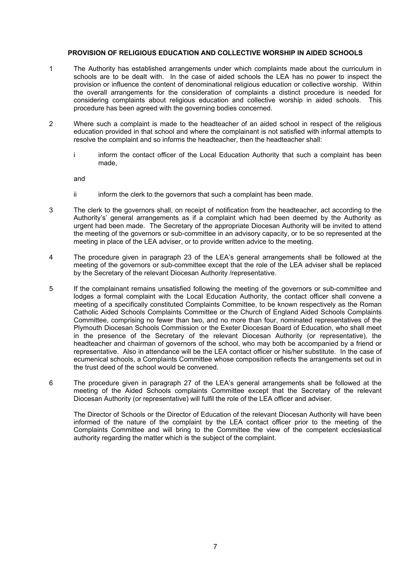#### **PROVISION OF RELIGIOUS EDUCATION AND COLLECTIVE WORSHIP IN AIDED SCHOOLS**

- 1 The Authority has established arrangements under which complaints made about the curriculum in schools are to be dealt with. In the case of aided schools the LEA has no power to inspect the provision or influence the content of denominational religious education or collective worship. Within the overall arrangements for the consideration of complaints a distinct procedure is needed for considering complaints about religious education and collective worship in aided schools. This procedure has been agreed with the governing bodies concerned.
- 2 Where such a complaint is made to the headteacher of an aided school in respect of the religious education provided in that school and where the complainant is not satisfied with informal attempts to resolve the complaint and so informs the headteacher, then the headteacher shall:
	- i inform the contact officer of the Local Education Authority that such a complaint has been made,

and

- ii inform the clerk to the governors that such a complaint has been made.
- 3 The clerk to the governors shall, on receipt of notification from the headteacher, act according to the Authority's' general arrangements as if a complaint which had been deemed by the Authority as urgent had been made. The Secretary of the appropriate Diocesan Authority will be invited to attend the meeting of the governors or sub-committee in an advisory capacity, or to be so represented at the meeting in place of the LEA adviser, or to provide written advice to the meeting.
- 4 The procedure given in paragraph 23 of the LEA's general arrangements shall be followed at the meeting of the governors or sub-committee except that the role of the LEA adviser shall be replaced by the Secretary of the relevant Diocesan Authority /representative.
- 5 If the complainant remains unsatisfied following the meeting of the governors or sub-committee and lodges a formal complaint with the Local Education Authority, the contact officer shall convene a meeting of a specifically constituted Complaints Committee, to be known respectively as the Roman Catholic Aided Schools Complaints Committee or the Church of England Aided Schools Complaints Committee, comprising no fewer than two, and no more than four, nominated representatives of the Plymouth Diocesan Schools Commission or the Exeter Diocesan Board of Education, who shall meet in the presence of the Secretary of the relevant Diocesan Authority (or representative), the headteacher and chairman of governors of the school, who may both be accompanied by a friend or representative. Also in attendance will be the LEA contact officer or his/her substitute. In the case of ecumenical schools, a Complaints Committee whose composition reflects the arrangements set out in the trust deed of the school would be convened.
- 6 The procedure given in paragraph 27 of the LEA's general arrangements shall be followed at the meeting of the Aided Schools complaints Committee except that the Secretary of the relevant Diocesan Authority (or representative) will fulfil the role of the LEA officer and adviser.

The Director of Schools or the Director of Education of the relevant Diocesan Authority will have been informed of the nature of the complaint by the LEA contact officer prior to the meeting of the Complaints Committee and will bring to the Committee the view of the competent ecclesiastical authority regarding the matter which is the subject of the complaint.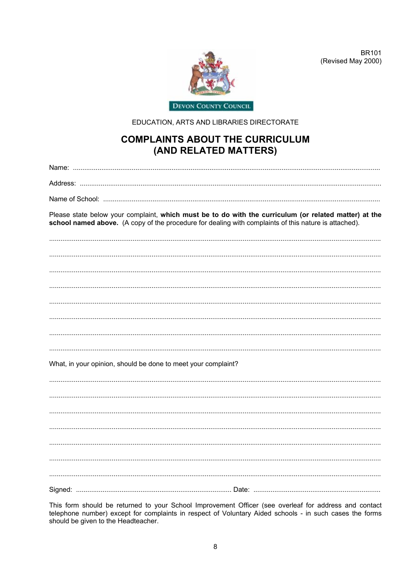

BR101 (Revised May 2000)

EDUCATION, ARTS AND LIBRARIES DIRECTORATE

### **COMPLAINTS ABOUT THE CURRICULUM** (AND RELATED MATTERS)

Please state below your complaint, which must be to do with the curriculum (or related matter) at the school named above. (A copy of the procedure for dealing with complaints of this nature is attached). What, in your opinion, should be done to meet your complaint?

This form should be returned to your School Improvement Officer (see overleaf for address and contact telephone number) except for complaints in respect of Voluntary Aided schools - in such cases the forms should be given to the Headteacher.